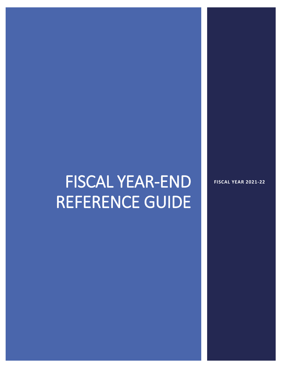# FISCAL YEAR-END REFERENCE GUIDE

**FISCAL YEAR 2021-22**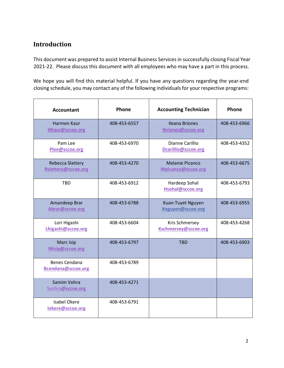# **Introduction**

This document was prepared to assist Internal Business Servicesin successfully closing Fiscal Year 2021-22. Please discuss this document with all employees who may have a part in this process.

We hope you will find this material helpful. If you have any questions regarding the year-end closing schedule, you may contact any of the following individuals for your respective programs:

| <b>Accountant</b>                              | Phone        | <b>Accounting Technician</b>                 | <b>Phone</b> |
|------------------------------------------------|--------------|----------------------------------------------|--------------|
| <b>Harmen Kaur</b><br><b>HKaur@sccoe.org</b>   | 408-453-6557 | <b>Ileana Briones</b><br>Ibriones@sccoe.org  | 408-453-6966 |
| Pam Lee<br>Plee@sccoe.org                      | 408-453-6970 | Dianne Carillio<br>Dcarillio@sccoe.org       | 408-453-4352 |
| <b>Rebecca Slattery</b><br>Rslattery@sccoe.org | 408-453-4270 | <b>Melanie Picanco</b><br>Mpicanco@sccoe.org | 408-453-6675 |
| <b>TBD</b>                                     | 408-453-6912 | Hardeep Sohal<br>Hsohal@sccoe.org            | 408-453-6793 |
| Amandeep Brar<br>Abrar@sccoe.org               | 408-453-6788 | Xuan-Tuyet Nguyen<br>Xnguyen@sccoe.org       | 408-453-6955 |
| Lori Higashi<br>Lhigashi@sccoe.org             | 408-453-6604 | Kris Schmersey<br>Kschmersey@sccoe.org       | 408-453-4268 |
| Marc Isip<br>Misip@sccoe.org                   | 408-453-6797 | <b>TBD</b>                                   | 408-453-6903 |
| <b>Benes Cendana</b><br>Bcendana@sccoe.org     | 408-453-6789 |                                              |              |
| Samim Vohra<br>Svohra@sccoe.org                | 408-453-4271 |                                              |              |
| <b>Isabel Okere</b><br>lokere@sccoe.org        | 408-453-6791 |                                              |              |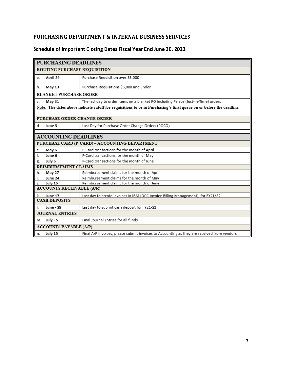## **PURCHASING DEPARTMENT & INTERNAL BUSINESS SERVICES**

## **Schedule of Important Closing Dates Fiscal Year End June 30, 2022**

|                               | <b>PURCHASING DEADLINES</b>      |                                                                                                                     |  |
|-------------------------------|----------------------------------|---------------------------------------------------------------------------------------------------------------------|--|
|                               | ROUTING PURCHASE REQUISITION     |                                                                                                                     |  |
| a.                            | April 29                         | Purchase Requisition over \$3,000                                                                                   |  |
| b.                            | May 13                           | Purchase Requisitions \$3,000 and under                                                                             |  |
|                               | <b>BLANKET PURCHASE ORDER</b>    |                                                                                                                     |  |
| c.                            | May 31                           | The last day to order items on a blanket PO including Palace (Just-In-Time) orders                                  |  |
|                               |                                  | Note: The dates above indicate cutoff for requisitions to be in Purchasing's final queue on or before the deadline. |  |
|                               |                                  |                                                                                                                     |  |
|                               | PURCHASE ORDER CHANGE ORDER      |                                                                                                                     |  |
| d.                            | June 3                           | Last Day for Purchase Order Change Orders (POCO)                                                                    |  |
|                               |                                  |                                                                                                                     |  |
|                               | <b>ACCOUNTING DEADLINES</b>      |                                                                                                                     |  |
|                               |                                  | PURCHASE CARD (P-CARD) - ACCOUNTING DEPARTMENT                                                                      |  |
| e.                            | May 6                            | P-Card transactions for the month of April                                                                          |  |
| f.                            | June 6                           | P-Card transactions for the month of May                                                                            |  |
| g.                            | July 6                           | P-Card transactions for the month of June                                                                           |  |
|                               | REIMBURSEMENT CLAIMS             |                                                                                                                     |  |
| h.                            | <b>May 27</b>                    | Reimbursement claims for the month of April                                                                         |  |
| i.                            | June 24                          | Reimbursement claims for the month of May                                                                           |  |
| i.                            | July 15                          | Reimbursement claims for the month of June                                                                          |  |
|                               | <b>ACCOUNTS RECEIVABLE (A/R)</b> |                                                                                                                     |  |
| k.                            | June 17                          | Last day to create invoices in IBM (QCC Invoice Billing Management), for FY21/22                                    |  |
| <b>CASH DEPOSITS</b>          |                                  |                                                                                                                     |  |
| L                             | June - 29                        | Last day to submit cash deposit for FY21-22                                                                         |  |
| <b>JOURNAL ENTRIES</b>        |                                  |                                                                                                                     |  |
| m.                            | <b>July - 5</b>                  | Final Journal Entries for all funds                                                                                 |  |
| <b>ACCOUNTS PAYABLE (A/P)</b> |                                  |                                                                                                                     |  |
| n.                            | July 15                          | Final A/P invoices, please submit invoices to Accounting as they are received from vendors                          |  |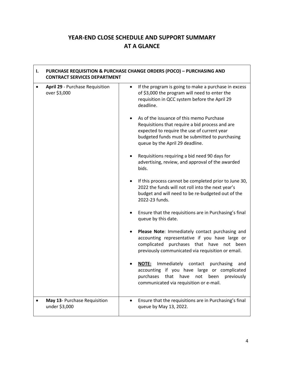# **YEAR-END CLOSE SCHEDULE AND SUPPORT SUMMARY AT A GLANCE**

| ı.        | <b>CONTRACT SERVICES DEPARTMENT</b>             |           | <b>PURCHASE REQUISITION &amp; PURCHASE CHANGE ORDERS (POCO) - PURCHASING AND</b>                                                                                                                                                |
|-----------|-------------------------------------------------|-----------|---------------------------------------------------------------------------------------------------------------------------------------------------------------------------------------------------------------------------------|
| $\bullet$ | April 29 - Purchase Requisition<br>over \$3,000 | $\bullet$ | If the program is going to make a purchase in excess<br>of \$3,000 the program will need to enter the<br>requisition in QCC system before the April 29<br>deadline.                                                             |
|           |                                                 |           | As of the issuance of this memo Purchase<br>Requisitions that require a bid process and are<br>expected to require the use of current year<br>budgeted funds must be submitted to purchasing<br>queue by the April 29 deadline. |
|           |                                                 |           | Requisitions requiring a bid need 90 days for<br>advertising, review, and approval of the awarded<br>bids.                                                                                                                      |
|           |                                                 | ٠         | If this process cannot be completed prior to June 30,<br>2022 the funds will not roll into the next year's<br>budget and will need to be re-budgeted out of the<br>2022-23 funds.                                               |
|           |                                                 |           | Ensure that the requisitions are in Purchasing's final<br>queue by this date.                                                                                                                                                   |
|           |                                                 |           | Please Note: Immediately contact purchasing and<br>accounting representative if you have large or<br>complicated<br>purchases that have<br>not been<br>previously communicated via requisition or email.                        |
|           |                                                 |           | Immediately contact purchasing<br><b>NOTE:</b><br>and<br>accounting if you have large or complicated<br>purchases<br>that<br>have<br>not<br>previously<br>been<br>communicated via requisition or e-mail.                       |
|           | May 13- Purchase Requisition<br>under \$3,000   |           | Ensure that the requisitions are in Purchasing's final<br>queue by May 13, 2022.                                                                                                                                                |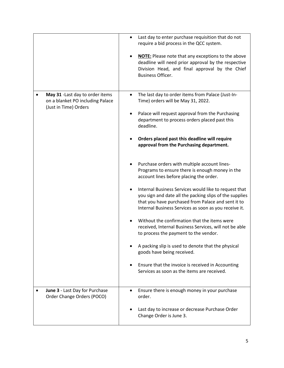|                                                                                               |           | Last day to enter purchase requisition that do not<br>require a bid process in the QCC system.<br><b>NOTE:</b> Please note that any exceptions to the above<br>deadline will need prior approval by the respective<br>Division Head, and final approval by the Chief<br>Business Officer.                                                                                                                                                                                                                                                                                                                                                                                                                                                                                                                                                                                                                                                                                                                                          |
|-----------------------------------------------------------------------------------------------|-----------|------------------------------------------------------------------------------------------------------------------------------------------------------------------------------------------------------------------------------------------------------------------------------------------------------------------------------------------------------------------------------------------------------------------------------------------------------------------------------------------------------------------------------------------------------------------------------------------------------------------------------------------------------------------------------------------------------------------------------------------------------------------------------------------------------------------------------------------------------------------------------------------------------------------------------------------------------------------------------------------------------------------------------------|
| May 31 - Last day to order items<br>on a blanket PO including Palace<br>(Just in Time) Orders | $\bullet$ | The last day to order items from Palace (Just-In-<br>Time) orders will be May 31, 2022.<br>Palace will request approval from the Purchasing<br>department to process orders placed past this<br>deadline.<br>Orders placed past this deadline will require<br>approval from the Purchasing department.<br>Purchase orders with multiple account lines-<br>Programs to ensure there is enough money in the<br>account lines before placing the order.<br>Internal Business Services would like to request that<br>you sign and date all the packing slips of the supplies<br>that you have purchased from Palace and sent it to<br>Internal Business Services as soon as you receive it.<br>Without the confirmation that the items were<br>received, Internal Business Services, will not be able<br>to process the payment to the vendor.<br>A packing slip is used to denote that the physical<br>goods have being received.<br>Ensure that the invoice is received in Accounting<br>Services as soon as the items are received. |
| June 3 - Last Day for Purchase<br>Order Change Orders (POCO)                                  |           | Ensure there is enough money in your purchase<br>order.<br>Last day to increase or decrease Purchase Order<br>Change Order is June 3.                                                                                                                                                                                                                                                                                                                                                                                                                                                                                                                                                                                                                                                                                                                                                                                                                                                                                              |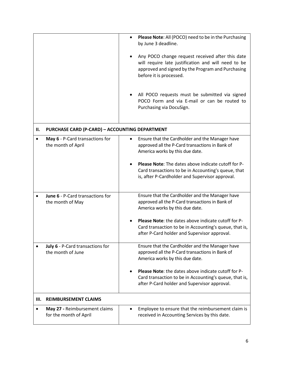|    |                                                         | Please Note: All (POCO) need to be in the Purchasing<br>by June 3 deadline.                                                                                                             |
|----|---------------------------------------------------------|-----------------------------------------------------------------------------------------------------------------------------------------------------------------------------------------|
|    |                                                         | Any POCO change request received after this date<br>will require late justification and will need to be<br>approved and signed by the Program and Purchasing<br>before it is processed. |
|    |                                                         | All POCO requests must be submitted via signed<br>POCO Form and via E-mail or can be routed to<br>Purchasing via DocuSign.                                                              |
| н. | <b>PURCHASE CARD (P-CARD) - ACCOUNTING DEPARTMENT</b>   |                                                                                                                                                                                         |
|    | May 6 - P-Card transactions for<br>the month of April   | Ensure that the Cardholder and the Manager have<br>approved all the P-Card transactions in Bank of<br>America works by this due date.                                                   |
|    |                                                         | Please Note: The dates above indicate cutoff for P-<br>Card transactions to be in Accounting's queue, that<br>is, after P-Cardholder and Supervisor approval.                           |
|    | June 6 - P-Card transactions for<br>the month of May    | Ensure that the Cardholder and the Manager have<br>approved all the P-Card transactions in Bank of<br>America works by this due date.                                                   |
|    |                                                         | <b>Please Note:</b> the dates above indicate cutoff for P-<br>Card transaction to be in Accounting's queue, that is,<br>after P-Card holder and Supervisor approval.                    |
|    | July 6 - P-Card transactions for<br>the month of June   | Ensure that the Cardholder and the Manager have<br>approved all the P-Card transactions in Bank of<br>America works by this due date.                                                   |
|    |                                                         | Please Note: the dates above indicate cutoff for P-<br>Card transaction to be in Accounting's queue, that is,<br>after P-Card holder and Supervisor approval.                           |
| Ш. | <b>REIMBURSEMENT CLAIMS</b>                             |                                                                                                                                                                                         |
|    | May 27 - Reimbursement claims<br>for the month of April | Employee to ensure that the reimbursement claim is<br>received in Accounting Services by this date.                                                                                     |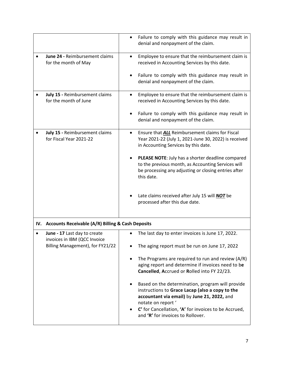|                                                              | $\bullet$ | Failure to comply with this guidance may result in<br>denial and nonpayment of the claim.                                                                                     |
|--------------------------------------------------------------|-----------|-------------------------------------------------------------------------------------------------------------------------------------------------------------------------------|
| June 24 - Reimbursement claims<br>for the month of May       | $\bullet$ | Employee to ensure that the reimbursement claim is<br>received in Accounting Services by this date.                                                                           |
|                                                              | $\bullet$ | Failure to comply with this guidance may result in<br>denial and nonpayment of the claim.                                                                                     |
| July 15 - Reimbursement claims<br>for the month of June      |           | Employee to ensure that the reimbursement claim is<br>received in Accounting Services by this date.                                                                           |
|                                                              |           | Failure to comply with this guidance may result in<br>denial and nonpayment of the claim.                                                                                     |
| July 15 - Reimbursement claims<br>for Fiscal Year 2021-22    |           | Ensure that <b>ALL</b> Reimbursement claims for Fiscal<br>Year 2021-22 (July 1, 2021-June 30, 2022) is received<br>in Accounting Services by this date.                       |
|                                                              |           | PLEASE NOTE: July has a shorter deadline compared<br>to the previous month, as Accounting Services will<br>be processing any adjusting or closing entries after<br>this date. |
|                                                              |           | Late claims received after July 15 will <b>NOT</b> be<br>processed after this due date.                                                                                       |
| IV. Accounts Receivable (A/R) Billing & Cash Deposits        |           |                                                                                                                                                                               |
| June - 17 Last day to create<br>invoices in IBM (QCC Invoice |           | The last day to enter invoices is June 17, 2022.                                                                                                                              |
| Billing Management), for FY21/22                             |           | The aging report must be run on June 17, 2022                                                                                                                                 |
|                                                              |           | The Programs are required to run and review (A/R)<br>aging report and determine if invoices need to be<br>Cancelled, Accrued or Rolled into FY 22/23.                         |
|                                                              | ٠         | Based on the determination, program will provide<br>instructions to Grace Lacap (also a copy to the<br>accountant via email) by June 21, 2022, and<br>notate on report'       |
|                                                              |           | C' for Cancellation, 'A' for invoices to be Accrued,<br>and 'R' for invoices to Rollover.                                                                                     |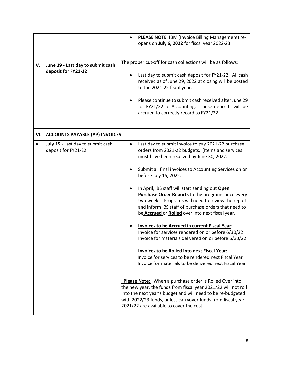|    |                                                          | PLEASE NOTE: IBM (Invoice Billing Management) re-<br>opens on July 6, 2022 for fiscal year 2022-23.                                                                                                                                                                                                |
|----|----------------------------------------------------------|----------------------------------------------------------------------------------------------------------------------------------------------------------------------------------------------------------------------------------------------------------------------------------------------------|
| V. | June 29 - Last day to submit cash                        | The proper cut-off for cash collections will be as follows:                                                                                                                                                                                                                                        |
|    | deposit for FY21-22                                      | Last day to submit cash deposit for FY21-22. All cash<br>received as of June 29, 2022 at closing will be posted<br>to the 2021-22 fiscal year.                                                                                                                                                     |
|    |                                                          | Please continue to submit cash received after June 29<br>for FY21/22 to Accounting. These deposits will be<br>accrued to correctly record to FY21/22.                                                                                                                                              |
|    | VI. ACCOUNTS PAYABLE (AP) INVOICES                       |                                                                                                                                                                                                                                                                                                    |
|    | July 15 - Last day to submit cash<br>deposit for FY21-22 | Last day to submit invoice to pay 2021-22 purchase<br>$\bullet$<br>orders from 2021-22 budgets. (Items and services<br>must have been received by June 30, 2022.                                                                                                                                   |
|    |                                                          | Submit all final invoices to Accounting Services on or<br>before July 15, 2022.                                                                                                                                                                                                                    |
|    |                                                          | In April, IBS staff will start sending out Open<br>Purchase Order Reports to the programs once every<br>two weeks. Programs will need to review the report<br>and inform IBS staff of purchase orders that need to<br>be Accrued or Rolled over into next fiscal year.                             |
|    |                                                          | Invoices to be Accrued in current Fiscal Year:<br>Invoice for services rendered on or before 6/30/22<br>Invoice for materials delivered on or before 6/30/22                                                                                                                                       |
|    |                                                          | Invoices to be Rolled into next Fiscal Year:<br>Invoice for services to be rendered next Fiscal Year<br>Invoice for materials to be delivered next Fiscal Year                                                                                                                                     |
|    |                                                          | Please Note: When a purchase order is Rolled Over into<br>the new year, the funds from fiscal year 2021/22 will not roll<br>into the next year's budget and will need to be re-budgeted<br>with 2022/23 funds, unless carryover funds from fiscal year<br>2021/22 are available to cover the cost. |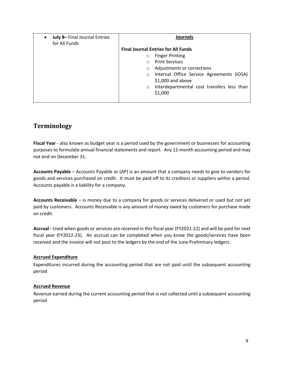| July 8- Final Journal Entries<br>for All Funds | Journals                                              |
|------------------------------------------------|-------------------------------------------------------|
|                                                | <b>Final Journal Entries for All Funds</b>            |
|                                                | <b>Finger Printing</b><br>$\circ$                     |
|                                                | <b>Print Services</b><br>$\circ$                      |
|                                                | Adjustments or corrections<br>$\circ$                 |
|                                                | Internal Office Service Agreements (IOSA)<br>$\circ$  |
|                                                | $$1,000$ and above                                    |
|                                                | Interdepartmental cost transfers less than<br>$\circ$ |
|                                                | \$1,000                                               |
|                                                |                                                       |

# **Terminology**

**Fiscal Year** - also known as budget year is a period used by the government or businesses for accounting purposes to formulate annual financial statements and report. Any 12-month accounting period and may not end on December 31.

**Accounts Payable** – Accounts Payable or (AP) is an amount that a company needs to give to vendors for goods and services purchased on credit. It must be paid off to its creditors or suppliers within a period. Accounts payable is a liability for a company.

**Accounts Receivable** – is money due to a company for goods or services delivered or used but not yet paid by customers. Accounts Receivable is any amount of money owed by customers for purchase made on credit.

**Accrual -** Used when goods or services are received in this fiscal year (FY2021-22) and will be paid for next fiscal year (FY2022-23). An accrual can be completed when you know the goods/services have been received and the invoice will not post to the ledgers by the end of the June Preliminary ledgers.

## **Accrued Expenditure**

Expenditures incurred during the accounting period that are not paid until the subsequent accounting period

## **Accrued Revenue**

Revenue earned during the current accounting period that is not collected until a subsequent accounting period